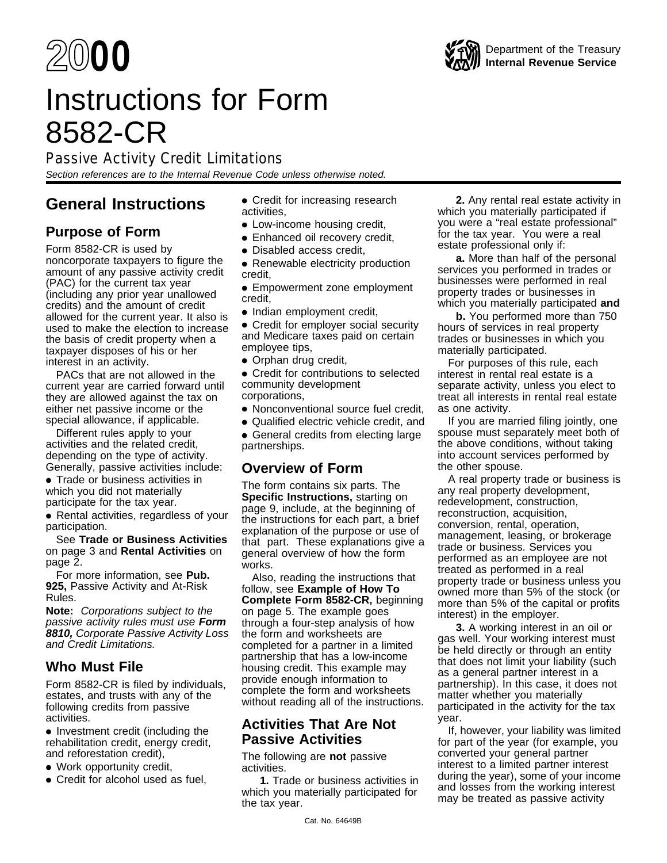# Instructions for Form 8582-CR

Passive Activity Credit Limitations

Section references are to the Internal Revenue Code unless otherwise noted.

# **General Instructions**

# **Purpose of Form**

Form 8582-CR is used by noncorporate taxpayers to figure the amount of any passive activity credit (PAC) for the current tax year (including any prior year unallowed credits) and the amount of credit allowed for the current year. It also is used to make the election to increase the basis of credit property when a taxpayer disposes of his or her interest in an activity.

PACs that are not allowed in the current year are carried forward until they are allowed against the tax on either net passive income or the special allowance, if applicable.

Different rules apply to your activities and the related credit, depending on the type of activity. Generally, passive activities include:

● Trade or business activities in which you did not materially participate for the tax year.

● Rental activities, regardless of your participation.

See **Trade or Business Activities** on page 3 and **Rental Activities** on page 2.

For more information, see **Pub. 925,** Passive Activity and At-Risk Rules.

**Note:** Corporations subject to the passive activity rules must use **Form 8810,** Corporate Passive Activity Loss and Credit Limitations.

# **Who Must File**

Form 8582-CR is filed by individuals, estates, and trusts with any of the following credits from passive activities.

● Investment credit (including the rehabilitation credit, energy credit, and reforestation credit),

- Work opportunity credit,
- Credit for alcohol used as fuel,
- Credit for increasing research activities,
- Low-income housing credit,
- Enhanced oil recovery credit,
- Disabled access credit.
- Renewable electricity production credit,
- Empowerment zone employment credit,
- Indian employment credit,

• Credit for employer social security and Medicare taxes paid on certain employee tips,

● Orphan drug credit,

● Credit for contributions to selected community development corporations,

- Nonconventional source fuel credit,
- Qualified electric vehicle credit, and
- General credits from electing large partnerships.

# **Overview of Form**

The form contains six parts. The **Specific Instructions,** starting on page 9, include, at the beginning of the instructions for each part, a brief explanation of the purpose or use of that part. These explanations give a general overview of how the form works.

Also, reading the instructions that follow, see **Example of How To Complete Form 8582-CR,** beginning on page 5. The example goes through a four-step analysis of how the form and worksheets are completed for a partner in a limited partnership that has a low-income housing credit. This example may provide enough information to complete the form and worksheets without reading all of the instructions.

# **Activities That Are Not Passive Activities**

The following are **not** passive activities.

**1.** Trade or business activities in which you materially participated for the tax year.

**2.** Any rental real estate activity in which you materially participated if you were a "real estate professional" for the tax year. You were a real estate professional only if:

**a.** More than half of the personal services you performed in trades or businesses were performed in real property trades or businesses in which you materially participated **and**

**b.** You performed more than 750 hours of services in real property trades or businesses in which you materially participated.

For purposes of this rule, each interest in rental real estate is a separate activity, unless you elect to treat all interests in rental real estate as one activity.

If you are married filing jointly, one spouse must separately meet both of the above conditions, without taking into account services performed by the other spouse.

A real property trade or business is any real property development, redevelopment, construction, reconstruction, acquisition, conversion, rental, operation, management, leasing, or brokerage trade or business. Services you performed as an employee are not treated as performed in a real property trade or business unless you owned more than 5% of the stock (or more than 5% of the capital or profits interest) in the employer.

**3.** A working interest in an oil or gas well. Your working interest must be held directly or through an entity that does not limit your liability (such as a general partner interest in a partnership). In this case, it does not matter whether you materially participated in the activity for the tax year.

If, however, your liability was limited for part of the year (for example, you converted your general partner interest to a limited partner interest during the year), some of your income and losses from the working interest may be treated as passive activity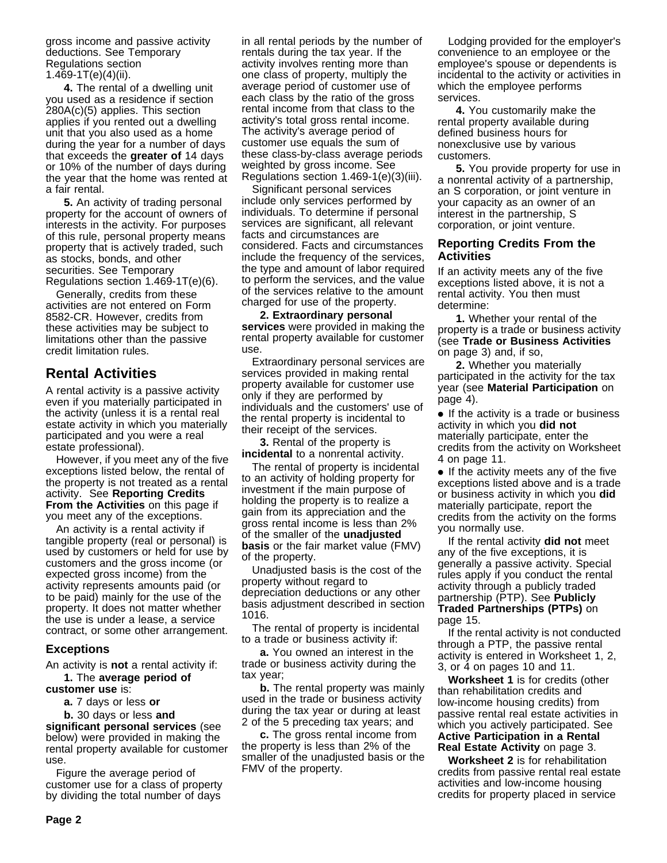gross income and passive activity deductions. See Temporary Regulations section 1.469-1T(e)(4)(ii).

**4.** The rental of a dwelling unit you used as a residence if section 280A(c)(5) applies. This section applies if you rented out a dwelling unit that you also used as a home during the year for a number of days that exceeds the **greater of** 14 days or 10% of the number of days during the year that the home was rented at a fair rental.

**5.** An activity of trading personal property for the account of owners of interests in the activity. For purposes of this rule, personal property means property that is actively traded, such as stocks, bonds, and other securities. See Temporary Regulations section 1.469-1T(e)(6).

Generally, credits from these activities are not entered on Form 8582-CR. However, credits from these activities may be subject to limitations other than the passive credit limitation rules.

# **Rental Activities**

A rental activity is a passive activity even if you materially participated in the activity (unless it is a rental real estate activity in which you materially participated and you were a real estate professional).

However, if you meet any of the five exceptions listed below, the rental of the property is not treated as a rental activity. See **Reporting Credits From the Activities** on this page if you meet any of the exceptions.

An activity is a rental activity if tangible property (real or personal) is used by customers or held for use by customers and the gross income (or expected gross income) from the activity represents amounts paid (or to be paid) mainly for the use of the property. It does not matter whether the use is under a lease, a service contract, or some other arrangement.

## **Exceptions**

An activity is **not** a rental activity if: **1.** The **average period of**

**customer use** is:

**a.** 7 days or less **or**

**b.** 30 days or less **and significant personal services** (see below) were provided in making the rental property available for customer use.

Figure the average period of customer use for a class of property by dividing the total number of days

in all rental periods by the number of rentals during the tax year. If the activity involves renting more than one class of property, multiply the average period of customer use of each class by the ratio of the gross rental income from that class to the activity's total gross rental income. The activity's average period of customer use equals the sum of these class-by-class average periods weighted by gross income. See Regulations section 1.469-1(e)(3)(iii).

Significant personal services include only services performed by individuals. To determine if personal services are significant, all relevant facts and circumstances are considered. Facts and circumstances include the frequency of the services, the type and amount of labor required to perform the services, and the value of the services relative to the amount charged for use of the property.

**2. Extraordinary personal services** were provided in making the rental property available for customer use.

Extraordinary personal services are services provided in making rental property available for customer use only if they are performed by individuals and the customers' use of the rental property is incidental to their receipt of the services.

**3.** Rental of the property is **incidental** to a nonrental activity.

The rental of property is incidental to an activity of holding property for investment if the main purpose of holding the property is to realize a gain from its appreciation and the gross rental income is less than 2% of the smaller of the **unadjusted basis** or the fair market value (FMV) of the property.

Unadjusted basis is the cost of the property without regard to depreciation deductions or any other basis adjustment described in section 1016.

The rental of property is incidental to a trade or business activity if:

**a.** You owned an interest in the trade or business activity during the tax year;

**b.** The rental property was mainly used in the trade or business activity during the tax year or during at least 2 of the 5 preceding tax years; and

**c.** The gross rental income from the property is less than 2% of the smaller of the unadjusted basis or the FMV of the property.

Lodging provided for the employer's convenience to an employee or the employee's spouse or dependents is incidental to the activity or activities in which the employee performs services.

**4.** You customarily make the rental property available during defined business hours for nonexclusive use by various customers.

**5.** You provide property for use in a nonrental activity of a partnership, an S corporation, or joint venture in your capacity as an owner of an interest in the partnership, S corporation, or joint venture.

### **Reporting Credits From the Activities**

If an activity meets any of the five exceptions listed above, it is not a rental activity. You then must determine:

**1.** Whether your rental of the property is a trade or business activity (see **Trade or Business Activities** on page 3) and, if so,

**2.** Whether you materially participated in the activity for the tax year (see **Material Participation** on page 4).

• If the activity is a trade or business activity in which you **did not** materially participate, enter the credits from the activity on Worksheet 4 on page 11.

● If the activity meets any of the five exceptions listed above and is a trade or business activity in which you **did** materially participate, report the credits from the activity on the forms you normally use.

If the rental activity **did not** meet any of the five exceptions, it is generally a passive activity. Special rules apply if you conduct the rental activity through a publicly traded partnership (PTP). See **Publicly Traded Partnerships (PTPs)** on page 15.

If the rental activity is not conducted through a PTP, the passive rental activity is entered in Worksheet 1, 2, 3, or 4 on pages 10 and 11.

**Worksheet 1** is for credits (other than rehabilitation credits and low-income housing credits) from passive rental real estate activities in which you actively participated. See **Active Participation in a Rental Real Estate Activity** on page 3.

**Worksheet 2** is for rehabilitation credits from passive rental real estate activities and low-income housing credits for property placed in service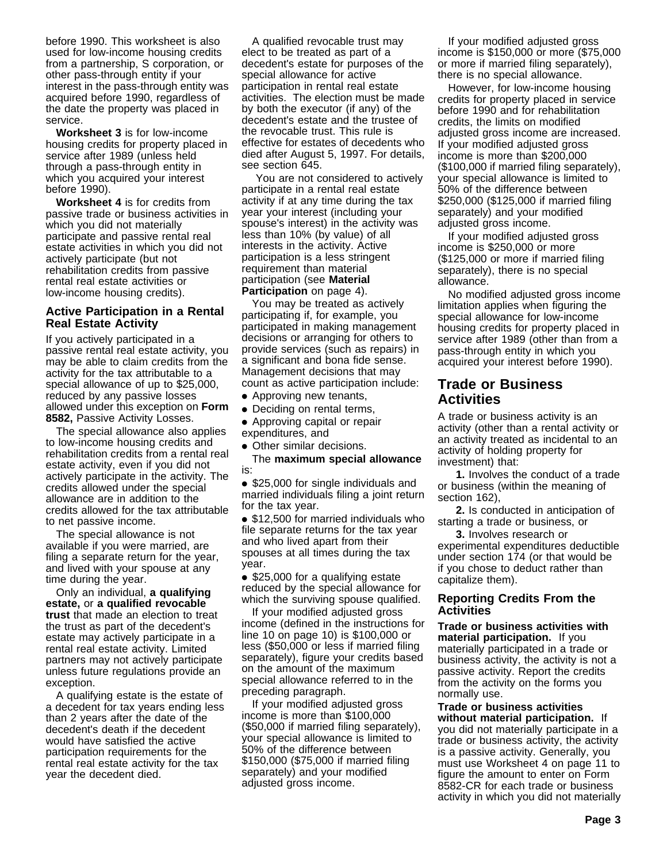before 1990. This worksheet is also used for low-income housing credits from a partnership, S corporation, or other pass-through entity if your interest in the pass-through entity was acquired before 1990, regardless of the date the property was placed in service.

**Worksheet 3** is for low-income housing credits for property placed in service after 1989 (unless held through a pass-through entity in which you acquired your interest before 1990).

**Worksheet 4** is for credits from passive trade or business activities in which you did not materially participate and passive rental real estate activities in which you did not actively participate (but not rehabilitation credits from passive rental real estate activities or low-income housing credits).

### **Active Participation in a Rental Real Estate Activity**

If you actively participated in a passive rental real estate activity, you may be able to claim credits from the activity for the tax attributable to a special allowance of up to \$25,000, reduced by any passive losses allowed under this exception on **Form 8582,** Passive Activity Losses.

The special allowance also applies to low-income housing credits and rehabilitation credits from a rental real estate activity, even if you did not actively participate in the activity. The credits allowed under the special allowance are in addition to the credits allowed for the tax attributable to net passive income.

The special allowance is not available if you were married, are filing a separate return for the year, and lived with your spouse at any time during the year.

Only an individual, **a qualifying estate,** or **a qualified revocable trust** that made an election to treat the trust as part of the decedent's estate may actively participate in a rental real estate activity. Limited partners may not actively participate unless future regulations provide an exception.

A qualifying estate is the estate of a decedent for tax years ending less than 2 years after the date of the decedent's death if the decedent would have satisfied the active participation requirements for the rental real estate activity for the tax year the decedent died.

A qualified revocable trust may elect to be treated as part of a decedent's estate for purposes of the special allowance for active participation in rental real estate activities. The election must be made by both the executor (if any) of the decedent's estate and the trustee of the revocable trust. This rule is effective for estates of decedents who died after August 5, 1997. For details, see section 645.

 You are not considered to actively participate in a rental real estate activity if at any time during the tax year your interest (including your spouse's interest) in the activity was less than 10% (by value) of all interests in the activity. Active participation is a less stringent requirement than material participation (see **Material Participation** on page 4).

You may be treated as actively participating if, for example, you participated in making management decisions or arranging for others to provide services (such as repairs) in a significant and bona fide sense. Management decisions that may count as active participation include:

- Approving new tenants,
- Deciding on rental terms,

● Approving capital or repair expenditures, and

• Other similar decisions.

The **maximum special allowance** is:

● \$25,000 for single individuals and married individuals filing a joint return for the tax year.

● \$12,500 for married individuals who file separate returns for the tax year and who lived apart from their spouses at all times during the tax year.

● \$25,000 for a qualifying estate reduced by the special allowance for which the surviving spouse qualified.

If your modified adjusted gross income (defined in the instructions for line 10 on page 10) is \$100,000 or less (\$50,000 or less if married filing separately), figure your credits based on the amount of the maximum special allowance referred to in the preceding paragraph.

If your modified adjusted gross income is more than \$100,000 (\$50,000 if married filing separately), your special allowance is limited to 50% of the difference between \$150,000 (\$75,000 if married filing separately) and your modified adjusted gross income.

If your modified adjusted gross income is \$150,000 or more (\$75,000 or more if married filing separately), there is no special allowance.

However, for low-income housing credits for property placed in service before 1990 and for rehabilitation credits, the limits on modified adjusted gross income are increased. If your modified adjusted gross income is more than \$200,000 (\$100,000 if married filing separately), your special allowance is limited to 50% of the difference between \$250,000 (\$125,000 if married filing separately) and your modified adjusted gross income.

If your modified adjusted gross income is \$250,000 or more (\$125,000 or more if married filing separately), there is no special allowance.

No modified adjusted gross income limitation applies when figuring the special allowance for low-income housing credits for property placed in service after 1989 (other than from a pass-through entity in which you acquired your interest before 1990).

# **Trade or Business Activities**

A trade or business activity is an activity (other than a rental activity or an activity treated as incidental to an activity of holding property for investment) that:

**1.** Involves the conduct of a trade or business (within the meaning of section 162),

**2.** Is conducted in anticipation of starting a trade or business, or

**3.** Involves research or experimental expenditures deductible under section 174 (or that would be if you chose to deduct rather than capitalize them).

#### **Reporting Credits From the Activities**

**Trade or business activities with material participation.** If you materially participated in a trade or business activity, the activity is not a passive activity. Report the credits from the activity on the forms you normally use.

**Trade or business activities without material participation.** If you did not materially participate in a trade or business activity, the activity is a passive activity. Generally, you must use Worksheet 4 on page 11 to figure the amount to enter on Form 8582-CR for each trade or business activity in which you did not materially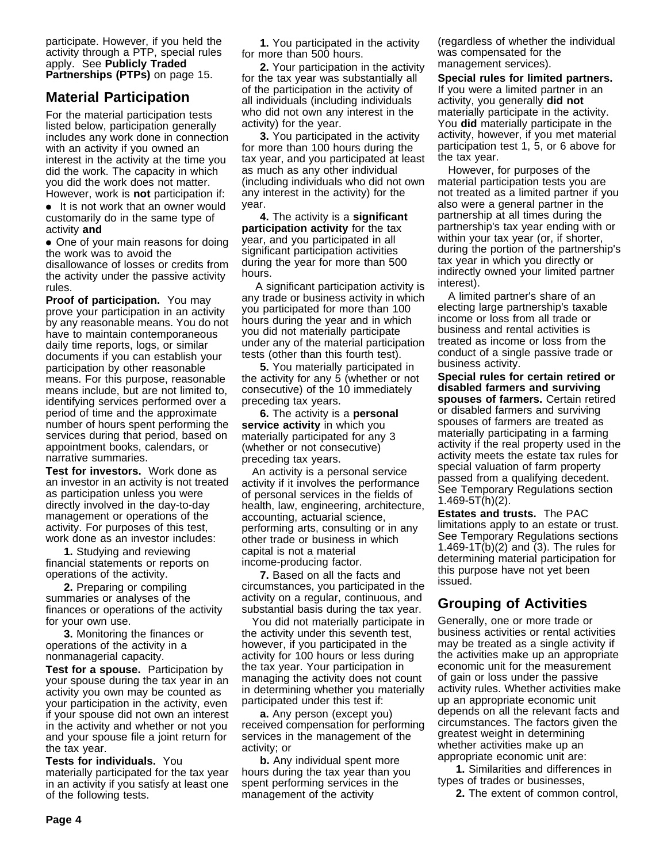participate. However, if you held the activity through a PTP, special rules apply. See **Publicly Traded Partnerships (PTPs)** on page 15.

# **Material Participation**

For the material participation tests listed below, participation generally includes any work done in connection with an activity if you owned an interest in the activity at the time you did the work. The capacity in which you did the work does not matter. However, work is **not** participation if:

● It is not work that an owner would customarily do in the same type of activity **and**

• One of your main reasons for doing the work was to avoid the disallowance of losses or credits from the activity under the passive activity rules.

**Proof of participation.** You may prove your participation in an activity by any reasonable means. You do not have to maintain contemporaneous daily time reports, logs, or similar documents if you can establish your participation by other reasonable means. For this purpose, reasonable means include, but are not limited to, identifying services performed over a period of time and the approximate number of hours spent performing the services during that period, based on appointment books, calendars, or narrative summaries.

**Test for investors.** Work done as an investor in an activity is not treated as participation unless you were directly involved in the day-to-day management or operations of the activity. For purposes of this test, work done as an investor includes:

**1.** Studying and reviewing financial statements or reports on operations of the activity.

**2.** Preparing or compiling summaries or analyses of the finances or operations of the activity for your own use.

**3.** Monitoring the finances or operations of the activity in a nonmanagerial capacity.

**Test for a spouse.** Participation by your spouse during the tax year in an activity you own may be counted as your participation in the activity, even if your spouse did not own an interest in the activity and whether or not you and your spouse file a joint return for the tax year.

**Tests for individuals.** You materially participated for the tax year in an activity if you satisfy at least one of the following tests.

**1.** You participated in the activity for more than 500 hours.

**2.** Your participation in the activity for the tax year was substantially all of the participation in the activity of all individuals (including individuals who did not own any interest in the activity) for the year.

**3.** You participated in the activity for more than 100 hours during the tax year, and you participated at least as much as any other individual (including individuals who did not own any interest in the activity) for the year.

**4.** The activity is a **significant participation activity** for the tax year, and you participated in all significant participation activities during the year for more than 500 hours.

 A significant participation activity is any trade or business activity in which you participated for more than 100 hours during the year and in which you did not materially participate under any of the material participation tests (other than this fourth test).

**5.** You materially participated in the activity for any 5 (whether or not consecutive) of the 10 immediately preceding tax years.

**6.** The activity is a **personal service activity** in which you materially participated for any 3 (whether or not consecutive) preceding tax years.

An activity is a personal service activity if it involves the performance of personal services in the fields of health, law, engineering, architecture, accounting, actuarial science, performing arts, consulting or in any other trade or business in which capital is not a material income-producing factor.

**7.** Based on all the facts and circumstances, you participated in the activity on a regular, continuous, and substantial basis during the tax year.

You did not materially participate in the activity under this seventh test, however, if you participated in the activity for 100 hours or less during the tax year. Your participation in managing the activity does not count in determining whether you materially participated under this test if:

**a.** Any person (except you) received compensation for performing services in the management of the activity; or

**b.** Any individual spent more hours during the tax year than you spent performing services in the management of the activity

(regardless of whether the individual was compensated for the management services).

**Special rules for limited partners.** If you were a limited partner in an activity, you generally **did not** materially participate in the activity. You **did** materially participate in the activity, however, if you met material participation test 1, 5, or 6 above for the tax year.

However, for purposes of the material participation tests you are not treated as a limited partner if you also were a general partner in the partnership at all times during the partnership's tax year ending with or within your tax year (or, if shorter, during the portion of the partnership's tax year in which you directly or indirectly owned your limited partner interest).

A limited partner's share of an electing large partnership's taxable income or loss from all trade or business and rental activities is treated as income or loss from the conduct of a single passive trade or business activity.

**Special rules for certain retired or disabled farmers and surviving spouses of farmers.** Certain retired or disabled farmers and surviving spouses of farmers are treated as materially participating in a farming activity if the real property used in the activity meets the estate tax rules for special valuation of farm property passed from a qualifying decedent. See Temporary Regulations section 1.469-5T(h)(2).

**Estates and trusts.** The PAC limitations apply to an estate or trust. See Temporary Regulations sections 1.469-1T(b)(2) and (3). The rules for determining material participation for this purpose have not yet been issued.

# **Grouping of Activities**

Generally, one or more trade or business activities or rental activities may be treated as a single activity if the activities make up an appropriate economic unit for the measurement of gain or loss under the passive activity rules. Whether activities make up an appropriate economic unit depends on all the relevant facts and circumstances. The factors given the greatest weight in determining whether activities make up an appropriate economic unit are:

**1.** Similarities and differences in types of trades or businesses,

**2.** The extent of common control,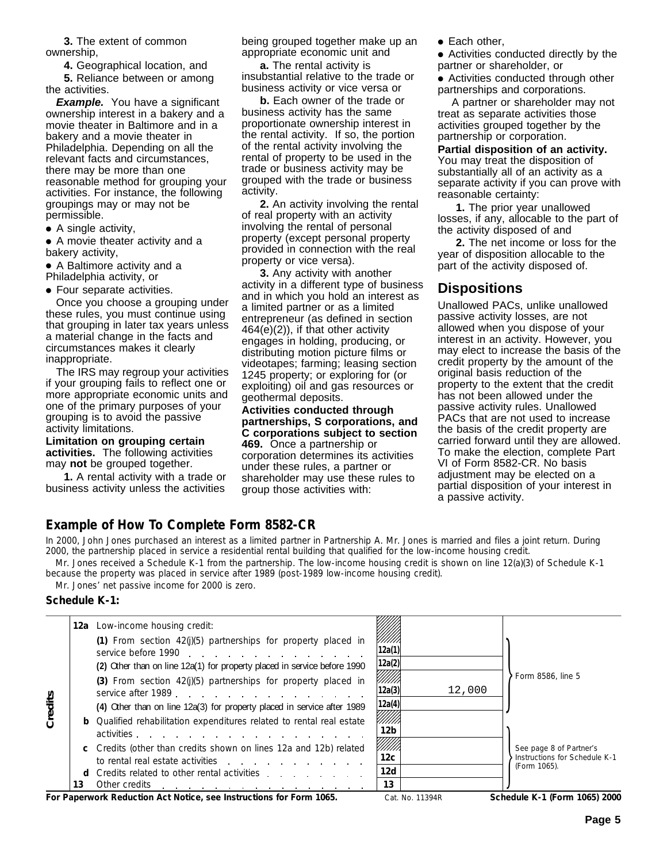**3.** The extent of common ownership,

**4.** Geographical location, and

**5.** Reliance between or among the activities.

**Example.** You have a significant ownership interest in a bakery and a movie theater in Baltimore and in a bakery and a movie theater in Philadelphia. Depending on all the relevant facts and circumstances, there may be more than one reasonable method for grouping your activities. For instance, the following groupings may or may not be permissible.

● A single activity,

● A movie theater activity and a bakery activity,

● A Baltimore activity and a Philadelphia activity, or

● Four separate activities.

Once you choose a grouping under these rules, you must continue using that grouping in later tax years unless a material change in the facts and circumstances makes it clearly inappropriate.

The IRS may regroup your activities if your grouping fails to reflect one or more appropriate economic units and one of the primary purposes of your grouping is to avoid the passive activity limitations.

**Limitation on grouping certain activities.** The following activities may **not** be grouped together.

**1.** A rental activity with a trade or business activity unless the activities

being grouped together make up an appropriate economic unit and

**a.** The rental activity is insubstantial relative to the trade or business activity or vice versa or

**b.** Each owner of the trade or business activity has the same proportionate ownership interest in the rental activity. If so, the portion of the rental activity involving the rental of property to be used in the trade or business activity may be grouped with the trade or business activity.

**2.** An activity involving the rental of real property with an activity involving the rental of personal property (except personal property provided in connection with the real property or vice versa).

**3.** Any activity with another activity in a different type of business and in which you hold an interest as a limited partner or as a limited entrepreneur (as defined in section 464(e)(2)), if that other activity engages in holding, producing, or distributing motion picture films or videotapes; farming; leasing section 1245 property; or exploring for (or exploiting) oil and gas resources or geothermal deposits.

**Activities conducted through partnerships, S corporations, and C corporations subject to section 469.** Once a partnership or corporation determines its activities under these rules, a partner or shareholder may use these rules to group those activities with:

● Each other,

● Activities conducted directly by the partner or shareholder, or

● Activities conducted through other partnerships and corporations.

 A partner or shareholder may not treat as separate activities those activities grouped together by the partnership or corporation.

**Partial disposition of an activity.** You may treat the disposition of substantially all of an activity as a separate activity if you can prove with reasonable certainty:

**1.** The prior year unallowed losses, if any, allocable to the part of the activity disposed of and

**2.** The net income or loss for the year of disposition allocable to the part of the activity disposed of.

# **Dispositions**

Unallowed PACs, unlike unallowed passive activity losses, are not allowed when you dispose of your interest in an activity. However, you may elect to increase the basis of the credit property by the amount of the original basis reduction of the property to the extent that the credit has not been allowed under the passive activity rules. Unallowed PACs that are not used to increase the basis of the credit property are carried forward until they are allowed. To make the election, complete Part VI of Form 8582-CR. No basis adjustment may be elected on a partial disposition of your interest in a passive activity.

# **Example of How To Complete Form 8582-CR**

In 2000, John Jones purchased an interest as a limited partner in Partnership A. Mr. Jones is married and files a joint return. During 2000, the partnership placed in service a residential rental building that qualified for the low-income housing credit.

Mr. Jones received a Schedule K-1 from the partnership. The low-income housing credit is shown on line 12(a)(3) of Schedule K-1 because the property was placed in service after 1989 (post-1989 low-income housing credit).

Mr. Jones' net passive income for 2000 is zero.

#### **Schedule K-1:**

|         |    | <b>12a</b> Low-income housing credit:<br>(1) From section $42(j)(5)$ partnerships for property placed in<br>service before 1990<br>(2) Other than on line 12a(1) for property placed in service before 1990<br>(3) From section 42(j)(5) partnerships for property placed in<br>service after 1989.                                                                                                                                                                                   | 12a(1)<br>12a(2)<br>!!!!!!<br>12a(3)                                | 12,000 | Form 8586, line 5                                                        |
|---------|----|---------------------------------------------------------------------------------------------------------------------------------------------------------------------------------------------------------------------------------------------------------------------------------------------------------------------------------------------------------------------------------------------------------------------------------------------------------------------------------------|---------------------------------------------------------------------|--------|--------------------------------------------------------------------------|
| Credits | 13 | (4) Other than on line 12a(3) for property placed in service after 1989<br><b>b</b> Qualified rehabilitation expenditures related to rental real estate<br>activities<br>c Credits (other than credits shown on lines 12a and 12b) related<br>to rental real estate activities<br>Credits related to other rental activities expansion of the credits related to other rental activities<br>Other credits<br>the contract of the contract of the contract of the contract of the con- | 12a(4)<br>12 <sub>b</sub><br>!!!!!!<br>12 <sub>c</sub><br>12d<br>13 |        | See page 8 of Partner's<br>Instructions for Schedule K-1<br>(Form 1065). |

For Paperwork Reduction Act Notice, see Instructions for Form 1065. Cat. No. 11394R Schedule K-1 (Form 1065) 2000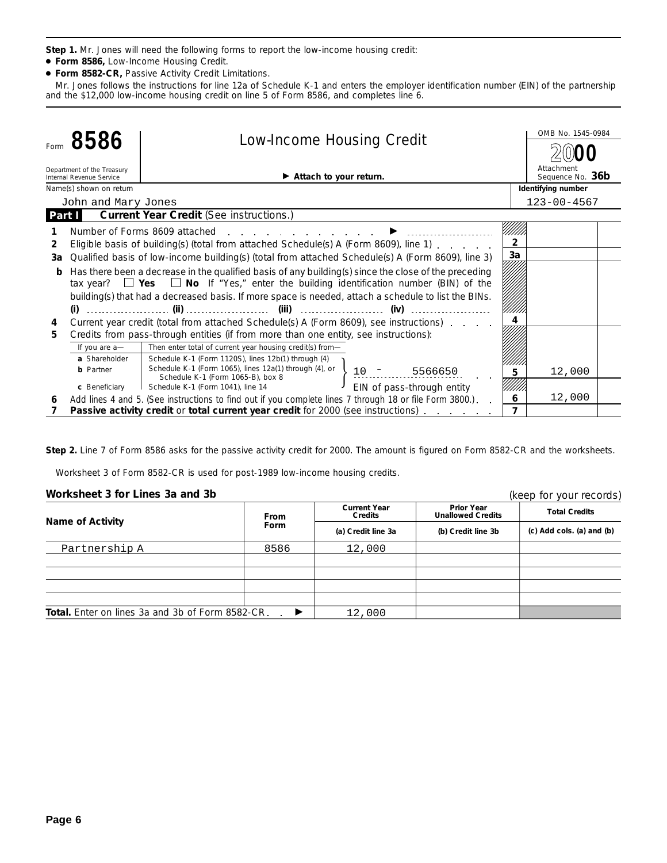**Step 1.** Mr. Jones will need the following forms to report the low-income housing credit:

- **Form 8586,** Low-Income Housing Credit.
- **Form 8582-CR,** Passive Activity Credit Limitations.

Mr. Jones follows the instructions for line 12a of Schedule K-1 and enters the employer identification number (EIN) of the partnership and the \$12,000 low-income housing credit on line 5 of Form 8586, and completes line 6.

| 8586<br>Form |                                                        |                                                                                                                                                                                                        |                                  |                | OMB No. 1545-0984              |  |
|--------------|--------------------------------------------------------|--------------------------------------------------------------------------------------------------------------------------------------------------------------------------------------------------------|----------------------------------|----------------|--------------------------------|--|
|              |                                                        |                                                                                                                                                                                                        | <b>Low-Income Housing Credit</b> |                |                                |  |
|              | Department of the Treasury<br>Internal Revenue Service | $\blacktriangleright$ Attach to your return.                                                                                                                                                           |                                  |                | Attachment<br>Sequence No. 36b |  |
|              | Name(s) shown on return                                |                                                                                                                                                                                                        |                                  |                | Identifying number             |  |
|              | John and Mary Jones                                    |                                                                                                                                                                                                        |                                  |                | $123 - 00 - 4567$              |  |
| Part I       |                                                        | <b>Current Year Credit (See instructions.)</b>                                                                                                                                                         |                                  |                |                                |  |
|              |                                                        | Number of Forms 8609 attached                                                                                                                                                                          |                                  |                |                                |  |
| 2            |                                                        | Eligible basis of building(s) (total from attached Schedule(s) A (Form 8609), line 1)                                                                                                                  |                                  | $\overline{2}$ |                                |  |
| За           |                                                        | Qualified basis of low-income building(s) (total from attached Schedule(s) A (Form 8609), line 3)                                                                                                      |                                  | 3a             |                                |  |
|              |                                                        | Has there been a decrease in the qualified basis of any building(s) since the close of the preceding<br>tax year? $\Box$ Yes $\Box$ No If "Yes," enter the building identification number (BIN) of the |                                  |                |                                |  |
|              |                                                        | building(s) that had a decreased basis. If more space is needed, attach a schedule to list the BINs.                                                                                                   |                                  |                |                                |  |
|              | (i)                                                    | (iv)                                                                                                                                                                                                   |                                  |                |                                |  |
| 4            |                                                        | Current year credit (total from attached Schedule(s) A (Form 8609), see instructions)                                                                                                                  |                                  |                |                                |  |
| 5            |                                                        | Credits from pass-through entities (if from more than one entity, see instructions):                                                                                                                   |                                  |                |                                |  |
|              | If you are a-                                          | Then enter total of current year housing credit(s) from-                                                                                                                                               |                                  |                |                                |  |
|              | a Shareholder                                          | Schedule K-1 (Form 1120S), lines 12b(1) through (4)                                                                                                                                                    |                                  |                |                                |  |
|              | <b>b</b> Partner                                       | Schedule K-1 (Form 1065), lines 12a(1) through (4), or<br>5566650<br>Schedule K-1 (Form 1065-B), box 8                                                                                                 |                                  |                | 12,000                         |  |
|              | c Beneficiary                                          | EIN of pass-through entity<br>Schedule K-1 (Form 1041), line 14                                                                                                                                        |                                  |                |                                |  |
| 6            |                                                        | Add lines 4 and 5. (See instructions to find out if you complete lines 7 through 18 or file Form 3800.).                                                                                               |                                  | 6              | 12,000                         |  |
|              |                                                        | <b>Passive activity credit or total current year credit for 2000 (see instructions)</b>                                                                                                                |                                  |                |                                |  |

**Step 2.** Line 7 of Form 8586 asks for the passive activity credit for 2000. The amount is figured on Form 8582-CR and the worksheets.

Worksheet 3 of Form 8582-CR is used for post-1989 low-income housing credits.

#### **Worksheet 3 for Lines 3a and 3b**

| Worksheet 3 for Lines 3a and 3b                         |             |                                       |                                        | (keep for your records)         |
|---------------------------------------------------------|-------------|---------------------------------------|----------------------------------------|---------------------------------|
| Name of Activity                                        | <b>From</b> | <b>Current Year</b><br><b>Credits</b> | Prior Year<br><b>Unallowed Credits</b> | <b>Total Credits</b>            |
|                                                         | Form        | (a) Credit line 3a                    | (b) Credit line 3b                     | $(c)$ Add cols. $(a)$ and $(b)$ |
| Partnership A                                           | 8586        | 12,000                                |                                        |                                 |
|                                                         |             |                                       |                                        |                                 |
|                                                         |             |                                       |                                        |                                 |
|                                                         |             |                                       |                                        |                                 |
|                                                         |             |                                       |                                        |                                 |
| <b>Total.</b> Enter on lines 3a and 3b of Form 8582-CR. |             | 12,000                                |                                        |                                 |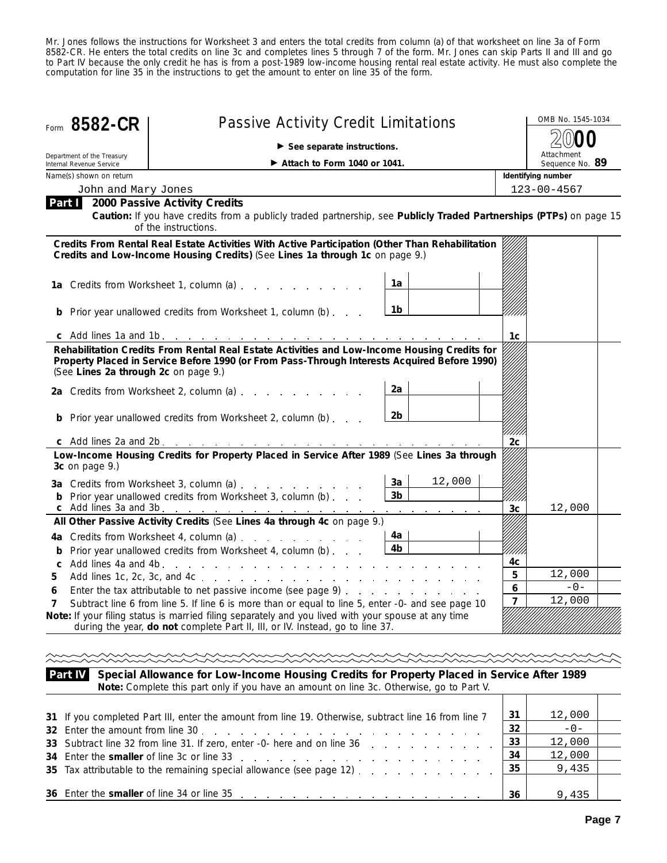Mr. Jones follows the instructions for Worksheet 3 and enters the total credits from column (a) of that worksheet on line 3a of Form 8582-CR. He enters the total credits on line 3c and completes lines 5 through 7 of the form. Mr. Jones can skip Parts II and III and go to Part IV because the only credit he has is from a post-1989 low-income housing rental real estate activity. He must also complete the computation for line 35 in the instructions to get the amount to enter on line 35 of the form.

|                                                        | $\triangleright$ See separate instructions.        |                                                                                                                                                                                                                                                                                                                                                                                                                                                                                                                                                                                                                                                                        |                                                                                                                                                                                                                                                                                                                                                                                                                                                                                                                                                                                                                                          |                                                                                                                                                                                                                                                                                                                                                                                                                                                                                                                                        |  |  |  |  |
|--------------------------------------------------------|----------------------------------------------------|------------------------------------------------------------------------------------------------------------------------------------------------------------------------------------------------------------------------------------------------------------------------------------------------------------------------------------------------------------------------------------------------------------------------------------------------------------------------------------------------------------------------------------------------------------------------------------------------------------------------------------------------------------------------|------------------------------------------------------------------------------------------------------------------------------------------------------------------------------------------------------------------------------------------------------------------------------------------------------------------------------------------------------------------------------------------------------------------------------------------------------------------------------------------------------------------------------------------------------------------------------------------------------------------------------------------|----------------------------------------------------------------------------------------------------------------------------------------------------------------------------------------------------------------------------------------------------------------------------------------------------------------------------------------------------------------------------------------------------------------------------------------------------------------------------------------------------------------------------------------|--|--|--|--|
| Department of the Treasury<br>Internal Revenue Service | $\blacktriangleright$ Attach to Form 1040 or 1041. |                                                                                                                                                                                                                                                                                                                                                                                                                                                                                                                                                                                                                                                                        |                                                                                                                                                                                                                                                                                                                                                                                                                                                                                                                                                                                                                                          | Attachment<br>Sequence No. 89                                                                                                                                                                                                                                                                                                                                                                                                                                                                                                          |  |  |  |  |
| Name(s) shown on return                                |                                                    |                                                                                                                                                                                                                                                                                                                                                                                                                                                                                                                                                                                                                                                                        |                                                                                                                                                                                                                                                                                                                                                                                                                                                                                                                                                                                                                                          | Identifying number                                                                                                                                                                                                                                                                                                                                                                                                                                                                                                                     |  |  |  |  |
|                                                        |                                                    |                                                                                                                                                                                                                                                                                                                                                                                                                                                                                                                                                                                                                                                                        |                                                                                                                                                                                                                                                                                                                                                                                                                                                                                                                                                                                                                                          | $123 - 00 - 4567$                                                                                                                                                                                                                                                                                                                                                                                                                                                                                                                      |  |  |  |  |
|                                                        |                                                    |                                                                                                                                                                                                                                                                                                                                                                                                                                                                                                                                                                                                                                                                        |                                                                                                                                                                                                                                                                                                                                                                                                                                                                                                                                                                                                                                          |                                                                                                                                                                                                                                                                                                                                                                                                                                                                                                                                        |  |  |  |  |
|                                                        |                                                    |                                                                                                                                                                                                                                                                                                                                                                                                                                                                                                                                                                                                                                                                        |                                                                                                                                                                                                                                                                                                                                                                                                                                                                                                                                                                                                                                          |                                                                                                                                                                                                                                                                                                                                                                                                                                                                                                                                        |  |  |  |  |
|                                                        |                                                    | 1a                                                                                                                                                                                                                                                                                                                                                                                                                                                                                                                                                                                                                                                                     |                                                                                                                                                                                                                                                                                                                                                                                                                                                                                                                                                                                                                                          |                                                                                                                                                                                                                                                                                                                                                                                                                                                                                                                                        |  |  |  |  |
|                                                        |                                                    | 1b                                                                                                                                                                                                                                                                                                                                                                                                                                                                                                                                                                                                                                                                     |                                                                                                                                                                                                                                                                                                                                                                                                                                                                                                                                                                                                                                          |                                                                                                                                                                                                                                                                                                                                                                                                                                                                                                                                        |  |  |  |  |
|                                                        |                                                    |                                                                                                                                                                                                                                                                                                                                                                                                                                                                                                                                                                                                                                                                        | 1c                                                                                                                                                                                                                                                                                                                                                                                                                                                                                                                                                                                                                                       |                                                                                                                                                                                                                                                                                                                                                                                                                                                                                                                                        |  |  |  |  |
|                                                        |                                                    | 2a<br>2b                                                                                                                                                                                                                                                                                                                                                                                                                                                                                                                                                                                                                                                               |                                                                                                                                                                                                                                                                                                                                                                                                                                                                                                                                                                                                                                          |                                                                                                                                                                                                                                                                                                                                                                                                                                                                                                                                        |  |  |  |  |
|                                                        |                                                    |                                                                                                                                                                                                                                                                                                                                                                                                                                                                                                                                                                                                                                                                        | 2c                                                                                                                                                                                                                                                                                                                                                                                                                                                                                                                                                                                                                                       |                                                                                                                                                                                                                                                                                                                                                                                                                                                                                                                                        |  |  |  |  |
| 3c on page 9.)                                         |                                                    |                                                                                                                                                                                                                                                                                                                                                                                                                                                                                                                                                                                                                                                                        |                                                                                                                                                                                                                                                                                                                                                                                                                                                                                                                                                                                                                                          |                                                                                                                                                                                                                                                                                                                                                                                                                                                                                                                                        |  |  |  |  |
|                                                        |                                                    | 12,000<br>3a<br>3 <sub>b</sub>                                                                                                                                                                                                                                                                                                                                                                                                                                                                                                                                                                                                                                         | 3c                                                                                                                                                                                                                                                                                                                                                                                                                                                                                                                                                                                                                                       | 12,000                                                                                                                                                                                                                                                                                                                                                                                                                                                                                                                                 |  |  |  |  |
|                                                        |                                                    |                                                                                                                                                                                                                                                                                                                                                                                                                                                                                                                                                                                                                                                                        |                                                                                                                                                                                                                                                                                                                                                                                                                                                                                                                                                                                                                                          |                                                                                                                                                                                                                                                                                                                                                                                                                                                                                                                                        |  |  |  |  |
|                                                        |                                                    | 4a<br>4b                                                                                                                                                                                                                                                                                                                                                                                                                                                                                                                                                                                                                                                               | 4c                                                                                                                                                                                                                                                                                                                                                                                                                                                                                                                                                                                                                                       |                                                                                                                                                                                                                                                                                                                                                                                                                                                                                                                                        |  |  |  |  |
|                                                        |                                                    |                                                                                                                                                                                                                                                                                                                                                                                                                                                                                                                                                                                                                                                                        | 5                                                                                                                                                                                                                                                                                                                                                                                                                                                                                                                                                                                                                                        | 12,000                                                                                                                                                                                                                                                                                                                                                                                                                                                                                                                                 |  |  |  |  |
|                                                        |                                                    |                                                                                                                                                                                                                                                                                                                                                                                                                                                                                                                                                                                                                                                                        | 6                                                                                                                                                                                                                                                                                                                                                                                                                                                                                                                                                                                                                                        | $-0-$                                                                                                                                                                                                                                                                                                                                                                                                                                                                                                                                  |  |  |  |  |
|                                                        |                                                    |                                                                                                                                                                                                                                                                                                                                                                                                                                                                                                                                                                                                                                                                        |                                                                                                                                                                                                                                                                                                                                                                                                                                                                                                                                                                                                                                          | 12,000                                                                                                                                                                                                                                                                                                                                                                                                                                                                                                                                 |  |  |  |  |
|                                                        |                                                    | John and Mary Jones<br>Part 1 2000 Passive Activity Credits<br>of the instructions.<br>1a Credits from Worksheet 1, column (a)<br>Prior year unallowed credits from Worksheet 1, column (b)<br>(See Lines 2a through 2c on page 9.)<br>2a Credits from Worksheet 2, column (a)<br><b>b</b> Prior year unallowed credits from Worksheet 2, column (b)<br>3a Credits from Worksheet 3, column (a)<br><b>b</b> Prior year unallowed credits from Worksheet 3, column (b)<br>c Add lines 3a and 3b. $\ldots$ $\ldots$ $\ldots$ $\ldots$ $\ldots$ $\ldots$<br>4a Credits from Worksheet 4, column (a)<br><b>b</b> Prior year unallowed credits from Worksheet 4, column (b) | Credits and Low-Income Housing Credits) (See Lines 1a through 1c on page 9.)<br>c Add lines 2a and 2b. $\ldots$ $\ldots$ $\ldots$ $\ldots$ $\ldots$ $\ldots$<br>and a state of the state of the<br>All Other Passive Activity Credits (See Lines 4a through 4c on page 9.)<br>Enter the tax attributable to net passive income (see page 9)<br>Subtract line 6 from line 5. If line 6 is more than or equal to line 5, enter -0- and see page 10<br>Note: If your filing status is married filing separately and you lived with your spouse at any time<br>during the year, do not complete Part II, III, or IV. Instead, go to line 37. | Caution: If you have credits from a publicly traded partnership, see Publicly Traded Partnerships (PTPs) on page 15<br>Credits From Rental Real Estate Activities With Active Participation (Other Than Rehabilitation<br>Rehabilitation Credits From Rental Real Estate Activities and Low-Income Housing Credits for<br>Property Placed in Service Before 1990 (or From Pass-Through Interests Acquired Before 1990)<br>Low-Income Housing Credits for Property Placed in Service After 1989 (See Lines 3a through<br>$\overline{ }$ |  |  |  |  |

**Special Allowance for Low-Income Housing Credits for Property Placed in Service After 1989 Note:** *Complete this part only if you have an amount on line 3c. Otherwise, go to Part V.* **Part IV**

| 31 If you completed Part III, enter the amount from line 19. Otherwise, subtract line 16 from line 7                                                                                                                           | 31  | 12,000 |  |
|--------------------------------------------------------------------------------------------------------------------------------------------------------------------------------------------------------------------------------|-----|--------|--|
|                                                                                                                                                                                                                                | 32  | $-0-$  |  |
| 33 Subtract line 32 from line 31. If zero, enter -0- here and on line 36 manufacture 1.1 manufacture 1.1 manufacture 1.1 manufacture 1.1 manufacture 1.1 manufacture 1.1 manufacture 1.1 manufacture 1.1 manufacture 1.1 manuf | 133 | 12,000 |  |
| 34 Enter the smaller of line 3c or line 33 reading the state of the smaller of line 3c or line 3c.                                                                                                                             | -34 | 12,000 |  |
| 35 Tax attributable to the remaining special allowance (see page 12) $\boxed{35}$                                                                                                                                              |     | 9,435  |  |
|                                                                                                                                                                                                                                |     |        |  |
| 36 Enter the smaller of line 34 or line 35 enter and the smaller of line 34 or line 35 enter all the smaller of line 34 or line 35                                                                                             | 36  | 9.435  |  |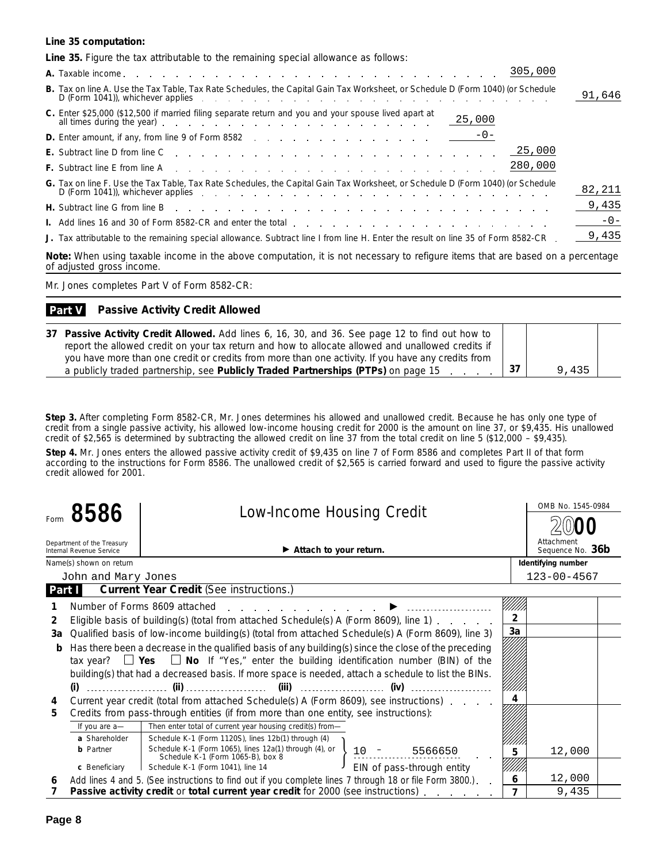#### **Line 35 computation:**

| Line 35. Figure the tax attributable to the remaining special allowance as follows:                                                                                                                                                                                                                                                                              |        |
|------------------------------------------------------------------------------------------------------------------------------------------------------------------------------------------------------------------------------------------------------------------------------------------------------------------------------------------------------------------|--------|
| 305,000                                                                                                                                                                                                                                                                                                                                                          |        |
| B. Tax on line A. Use the Tax Table, Tax Rate Schedules, the Capital Gain Tax Worksheet, or Schedule D (Form 1040) (or Schedule<br>$D$ (Form 1041)), whichever applies $\cdots$ $\cdots$ $\cdots$ $\cdots$ $\cdots$ $\cdots$ $\cdots$ $\cdots$ $\cdots$ $\cdots$ $\cdots$                                                                                        | 91,646 |
| C. Enter \$25,000 (\$12,500 if married filing separate return and you and your spouse lived apart at<br>25,000<br>all times during the year) entertainment of the state of the state of the state of the state of the state of the state of the state of the state of the state of the state of the state of the state of the state of the state                 |        |
| <b>D.</b> Enter amount, if any, from line 9 of Form 8582 $\frac{-0}{\sqrt{2}}$                                                                                                                                                                                                                                                                                   |        |
|                                                                                                                                                                                                                                                                                                                                                                  |        |
| 280,000                                                                                                                                                                                                                                                                                                                                                          |        |
| G. Tax on line F. Use the Tax Table, Tax Rate Schedules, the Capital Gain Tax Worksheet, or Schedule D (Form 1040) (or Schedule<br>D (Form 1041)), whichever applies experience and the contract of the contract of the contract of the contract of the contract of the contract of the contract of the contract of the contract of the contract of the contract | 82,211 |
| H. Subtract line G from line B enterprise to contact the contact the C from line B enterprise to contact the contact of the C from the C from the C from the C from the C from the C from the C from the C from the C from the                                                                                                                                   | 9,435  |
|                                                                                                                                                                                                                                                                                                                                                                  | $-0-$  |
| J. Tax attributable to the remaining special allowance. Subtract line I from line H. Enter the result on line 35 of Form 8582-CR.                                                                                                                                                                                                                                | 9,435  |
| Note: When using taxable income in the above computation, it is not necessary to refigure items that are based on a percentage<br>of adjusted gross income.                                                                                                                                                                                                      |        |

Mr. Jones completes Part V of Form 8582-CR:

#### **Passive Activity Credit Allowed Part V**

| 37 Passive Activity Credit Allowed. Add lines 6, 16, 30, and 36. See page 12 to find out how to    |       |  |
|----------------------------------------------------------------------------------------------------|-------|--|
| report the allowed credit on your tax return and how to allocate allowed and unallowed credits if  |       |  |
| you have more than one credit or credits from more than one activity. If you have any credits from |       |  |
| a publicly traded partnership, see Publicly Traded Partnerships (PTPs) on page 15                  | 9,435 |  |

**Step 3.** After completing Form 8582-CR, Mr. Jones determines his allowed and unallowed credit. Because he has only one type of credit from a single passive activity, his allowed low-income housing credit for 2000 is the amount on line 37, or \$9,435. His unallowed credit of \$2,565 is determined by subtracting the allowed credit on line 37 from the total credit on line 5 (\$12,000 – \$9,435).

**Step 4.** Mr. Jones enters the allowed passive activity credit of \$9,435 on line 7 of Form 8586 and completes Part II of that form according to the instructions for Form 8586. The unallowed credit of \$2,565 is carried forward and used to figure the passive activity credit allowed for 2001.

|                |                                                        | <b>Low-Income Housing Credit</b>                                                                             |                            |                | OMB No. 1545-0984              |
|----------------|--------------------------------------------------------|--------------------------------------------------------------------------------------------------------------|----------------------------|----------------|--------------------------------|
|                | Form $8586$                                            |                                                                                                              |                            |                |                                |
|                | Department of the Treasury<br>Internal Revenue Service | Attach to your return.                                                                                       |                            |                | Attachment<br>Sequence No. 36b |
|                | Name(s) shown on return                                |                                                                                                              |                            |                | Identifying number             |
|                | John and Mary Jones                                    |                                                                                                              |                            |                | $123 - 00 - 4567$              |
|                | Part I                                                 | <b>Current Year Credit (See instructions.)</b>                                                               |                            |                |                                |
|                |                                                        | Number of Forms 8609 attached                                                                                |                            |                |                                |
| $\overline{2}$ |                                                        | Eligible basis of building(s) (total from attached Schedule(s) A (Form 8609), line 1)                        |                            |                |                                |
| 3a             |                                                        | Qualified basis of low-income building(s) (total from attached Schedule(s) A (Form 8609), line 3)            |                            | 3a             |                                |
| b              |                                                        | Has there been a decrease in the qualified basis of any building(s) since the close of the preceding         |                            |                |                                |
|                |                                                        | tax year? $\Box$ Yes $\Box$ No If "Yes," enter the building identification number (BIN) of the               |                            |                |                                |
|                |                                                        | building(s) that had a decreased basis. If more space is needed, attach a schedule to list the BINs.         |                            |                |                                |
|                |                                                        |                                                                                                              |                            |                |                                |
| 4              |                                                        | Current year credit (total from attached Schedule(s) A (Form 8609), see instructions)                        |                            |                |                                |
| 5              |                                                        | Credits from pass-through entities (if from more than one entity, see instructions):                         |                            |                |                                |
|                | If you are a-                                          | Then enter total of current year housing credit(s) from-                                                     |                            |                |                                |
|                | a Shareholder                                          | Schedule K-1 (Form 1120S), lines 12b(1) through (4)                                                          |                            |                |                                |
|                | <b>b</b> Partner                                       | Schedule K-1 (Form 1065), lines 12a(1) through (4), or $\left\{\right.$<br>Schedule K-1 (Form 1065-B), box 8 | 5566650                    | 5              | 12,000                         |
|                | c Beneficiary                                          | Schedule K-1 (Form 1041), line 14                                                                            | EIN of pass-through entity |                |                                |
| 6              |                                                        | Add lines 4 and 5. (See instructions to find out if you complete lines 7 through 18 or file Form 3800.)      |                            | 6              | 12,000                         |
|                |                                                        | <b>Passive activity credit or total current year credit for 2000 (see instructions).</b>                     |                            | $\overline{7}$ | 9,435                          |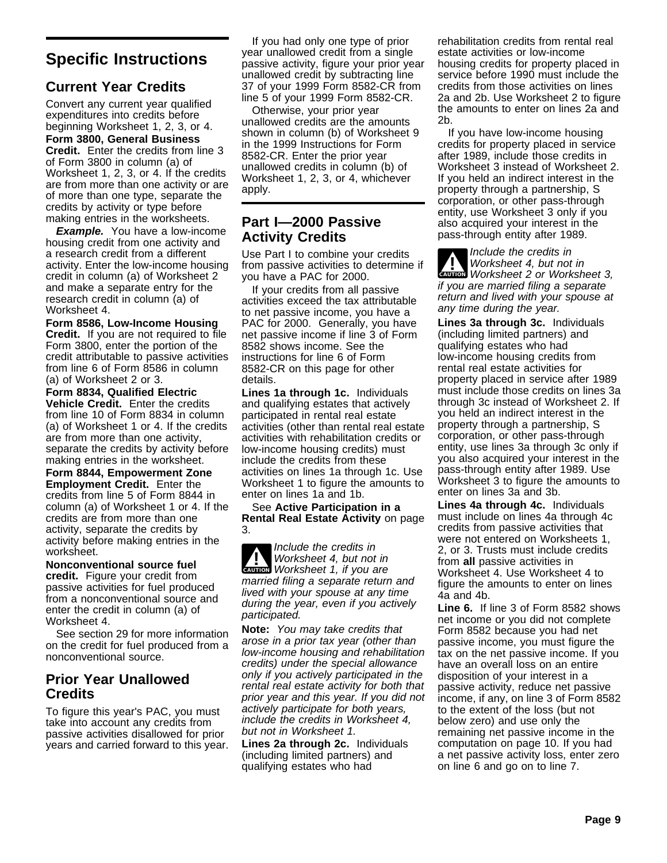# **Specific Instructions**

# **Current Year Credits**

Convert any current year qualified expenditures into credits before beginning Worksheet 1, 2, 3, or 4.

**Form 3800, General Business Credit.** Enter the credits from line 3 of Form 3800 in column (a) of Worksheet 1, 2, 3, or 4. If the credits are from more than one activity or are of more than one type, separate the credits by activity or type before making entries in the worksheets.

**Example.** You have a low-income housing credit from one activity and a research credit from a different activity. Enter the low-income housing credit in column (a) of Worksheet 2 and make a separate entry for the research credit in column (a) of Worksheet 4.

**Form 8586, Low-Income Housing Credit.** If you are not required to file Form 3800, enter the portion of the credit attributable to passive activities from line 6 of Form 8586 in column (a) of Worksheet 2 or 3.

**Form 8834, Qualified Electric Vehicle Credit.** Enter the credits from line 10 of Form 8834 in column (a) of Worksheet 1 or 4. If the credits are from more than one activity, separate the credits by activity before making entries in the worksheet.

**Form 8844, Empowerment Zone Employment Credit.** Enter the credits from line 5 of Form 8844 in column (a) of Worksheet 1 or 4. If the credits are from more than one activity, separate the credits by activity before making entries in the worksheet.

**Nonconventional source fuel credit.** Figure your credit from passive activities for fuel produced from a nonconventional source and enter the credit in column (a) of Worksheet 4.

See section 29 for more information on the credit for fuel produced from a nonconventional source.

# **Prior Year Unallowed Credits**

To figure this year's PAC, you must take into account any credits from passive activities disallowed for prior years and carried forward to this year.

If you had only one type of prior year unallowed credit from a single passive activity, figure your prior year unallowed credit by subtracting line 37 of your 1999 Form 8582-CR from line 5 of your 1999 Form 8582-CR.

Otherwise, your prior year unallowed credits are the amounts shown in column (b) of Worksheet 9 in the 1999 Instructions for Form 8582-CR. Enter the prior year unallowed credits in column (b) of Worksheet 1, 2, 3, or 4, whichever apply.

# **Part I—2000 Passive Activity Credits**

Use Part I to combine your credits from passive activities to determine if you have a PAC for 2000.

If your credits from all passive activities exceed the tax attributable to net passive income, you have a PAC for 2000. Generally, you have net passive income if line 3 of Form 8582 shows income. See the instructions for line 6 of Form 8582-CR on this page for other details.

**Lines 1a through 1c.** Individuals and qualifying estates that actively participated in rental real estate activities (other than rental real estate activities with rehabilitation credits or low-income housing credits) must include the credits from these activities on lines 1a through 1c. Use Worksheet 1 to figure the amounts to enter on lines 1a and 1b.

See **Active Participation in a Rental Real Estate Activity** on page 3.

**CAUTION** Worksheet 1, if you are **!** Include the credits in Worksheet 4, but not in married filing a separate return and lived with your spouse at any time during the year, even if you actively participated.

**Note:** You may take credits that arose in a prior tax year (other than low-income housing and rehabilitation credits) under the special allowance only if you actively participated in the rental real estate activity for both that prior year and this year. If you did not actively participate for both years, include the credits in Worksheet 4, but not in Worksheet 1.

**Lines 2a through 2c.** Individuals (including limited partners) and qualifying estates who had

rehabilitation credits from rental real estate activities or low-income housing credits for property placed in service before 1990 must include the credits from those activities on lines 2a and 2b. Use Worksheet 2 to figure the amounts to enter on lines 2a and 2b.

If you have low-income housing credits for property placed in service after 1989, include those credits in Worksheet 3 instead of Worksheet 2. If you held an indirect interest in the property through a partnership, S corporation, or other pass-through entity, use Worksheet 3 only if you also acquired your interest in the pass-through entity after 1989.

**Worksheet 4, but not in**<br> **Worksheet 2 or Worksheet 3,** Include the credits in Worksheet 4, but not in if you are married filing a separate return and lived with your spouse at any time during the year.

**Lines 3a through 3c.** Individuals (including limited partners) and qualifying estates who had low-income housing credits from rental real estate activities for property placed in service after 1989 must include those credits on lines 3a through 3c instead of Worksheet 2. If you held an indirect interest in the property through a partnership, S corporation, or other pass-through entity, use lines 3a through 3c only if you also acquired your interest in the pass-through entity after 1989. Use Worksheet 3 to figure the amounts to enter on lines 3a and 3b.

**Lines 4a through 4c.** Individuals must include on lines 4a through 4c credits from passive activities that were not entered on Worksheets 1, 2, or 3. Trusts must include credits from **all** passive activities in Worksheet 4. Use Worksheet 4 to figure the amounts to enter on lines 4a and 4b.

**Line 6.** If line 3 of Form 8582 shows net income or you did not complete Form 8582 because you had net passive income, you must figure the tax on the net passive income. If you have an overall loss on an entire disposition of your interest in a passive activity, reduce net passive income, if any, on line 3 of Form 8582 to the extent of the loss (but not below zero) and use only the remaining net passive income in the computation on page 10. If you had a net passive activity loss, enter zero on line 6 and go on to line 7.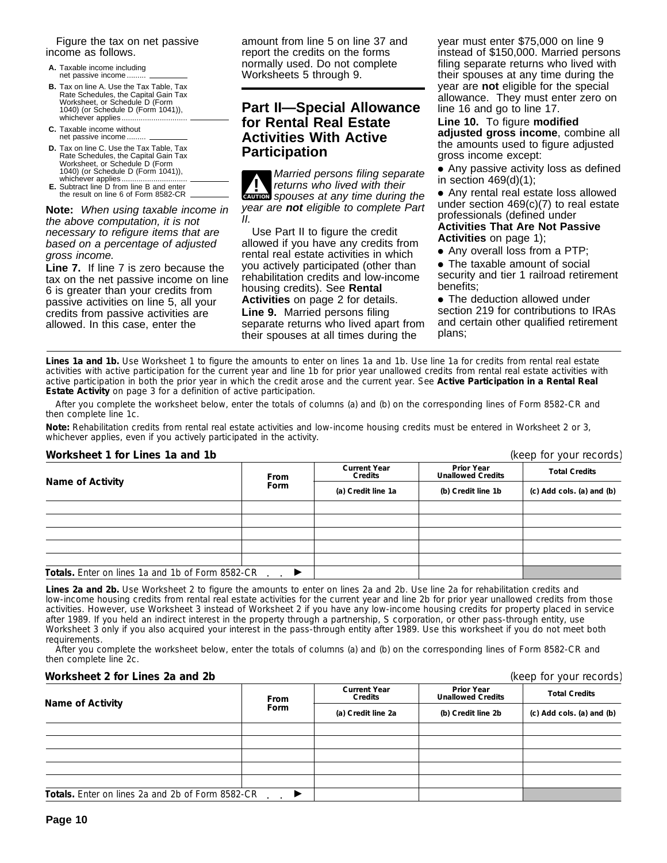Figure the tax on net passive income as follows.

- **A.** Taxable income including net passive income...
- **B.** Tax on line A. Use the Tax Table, Tax Rate Schedules, the Capital Gain Tax Worksheet, or Schedule D (Form 1040) (or Schedule D (Form 1041)), whichever applies...
- **C.** Taxable income without net passive income...
- **D.** Tax on line C. Use the Tax Table, Tax<br>Rate Schedules, the Capital Gain Tax<br>Worksheet, or Schedule D (Form 1040) (or Schedule D (Form 1041)), whichever applies...
- **E.** Subtract line D from line B and enter the result on line 6 of Form 8582-CR

**Note:** When using taxable income in the above computation, it is not necessary to refigure items that are based on a percentage of adjusted gross income.

**Line 7.** If line 7 is zero because the tax on the net passive income on line 6 is greater than your credits from passive activities on line 5, all your credits from passive activities are allowed. In this case, enter the

amount from line 5 on line 37 and report the credits on the forms normally used. Do not complete Worksheets 5 through 9.

# **Part II—Special Allowance for Rental Real Estate Activities With Active Participation**

**<u>coution</u>** spouses at any time during the **!** Married persons filing separate returns who lived with their year are **not** eligible to complete Part  $II$ 

Use Part II to figure the credit allowed if you have any credits from rental real estate activities in which you actively participated (other than rehabilitation credits and low-income housing credits). See **Rental Activities** on page 2 for details. **Line 9.** Married persons filing

separate returns who lived apart from their spouses at all times during the

year must enter \$75,000 on line 9 instead of \$150,000. Married persons filing separate returns who lived with their spouses at any time during the year are **not** eligible for the special allowance. They must enter zero on line 16 and go to line 17.

**Line 10.** To figure **modified adjusted gross income**, combine all the amounts used to figure adjusted gross income except:

• Any passive activity loss as defined in section 469(d)(1);

● Any rental real estate loss allowed under section 469(c)(7) to real estate professionals (defined under

**Activities That Are Not Passive Activities** on page 1);

● Any overall loss from a PTP;

● The taxable amount of social security and tier 1 railroad retirement benefits;

• The deduction allowed under section 219 for contributions to IRAs and certain other qualified retirement plans;

Lines 1a and 1b. Use Worksheet 1 to figure the amounts to enter on lines 1a and 1b. Use line 1a for credits from rental real estate activities with active participation for the current year and line 1b for prior year unallowed credits from rental real estate activities with active participation in both the prior year in which the credit arose and the current year. See **Active Participation in a Rental Real Estate Activity** on page 3 for a definition of active participation.

After you complete the worksheet below, enter the totals of columns (a) and (b) on the corresponding lines of Form 8582-CR and then complete line 1c.

**Note:** *Rehabilitation credits from rental real estate activities and low-income housing credits must be entered in Worksheet 2 or 3, whichever applies, even if you actively participated in the activity.*

### **Worksheet 1 for Lines 1a and 1b** (keep for your records)

| WORSHEEL FIGHT LINES TO AND TO<br>TREED TOT YOUL TECOLUST |      |                                |                                               |                           |  |
|-----------------------------------------------------------|------|--------------------------------|-----------------------------------------------|---------------------------|--|
| <b>Name of Activity</b>                                   | From | <b>Current Year</b><br>Credits | <b>Prior Year</b><br><b>Unallowed Credits</b> | <b>Total Credits</b>      |  |
|                                                           | Form | (a) Credit line 1a             | (b) Credit line 1b                            | (c) Add cols. (a) and (b) |  |
|                                                           |      |                                |                                               |                           |  |
|                                                           |      |                                |                                               |                           |  |
|                                                           |      |                                |                                               |                           |  |
|                                                           |      |                                |                                               |                           |  |
|                                                           |      |                                |                                               |                           |  |
| <b>Totals.</b> Enter on lines 1a and 1b of Form 8582-CR   |      |                                |                                               |                           |  |

**Lines 2a and 2b.** Use Worksheet 2 to figure the amounts to enter on lines 2a and 2b. Use line 2a for rehabilitation credits and low-income housing credits from rental real estate activities for the current year and line 2b for prior year unallowed credits from those activities. However, use Worksheet 3 instead of Worksheet 2 if you have any low-income housing credits for property placed in service after 1989. If you held an indirect interest in the property through a partnership, S corporation, or other pass-through entity, use Worksheet 3 only if you also acquired your interest in the pass-through entity after 1989. Use this worksheet if you do not meet both requirements.

After you complete the worksheet below, enter the totals of columns (a) and (b) on the corresponding lines of Form 8582-CR and then complete line 2c.

#### **Worksheet 2 for Lines 2a and 2b (keep for your records)** (keep for your records)

|                                                  | <b>From</b>                | <b>Current Year</b><br>Credits | <b>Prior Year</b><br><b>Unallowed Credits</b> | <b>Total Credits</b>      |  |  |
|--------------------------------------------------|----------------------------|--------------------------------|-----------------------------------------------|---------------------------|--|--|
| Name of Activity                                 | Form<br>(a) Credit line 2a |                                | (b) Credit line 2b                            | (c) Add cols. (a) and (b) |  |  |
|                                                  |                            |                                |                                               |                           |  |  |
|                                                  |                            |                                |                                               |                           |  |  |
|                                                  |                            |                                |                                               |                           |  |  |
|                                                  |                            |                                |                                               |                           |  |  |
|                                                  |                            |                                |                                               |                           |  |  |
| Totals. Enter on lines 2a and 2b of Form 8582-CR |                            |                                |                                               |                           |  |  |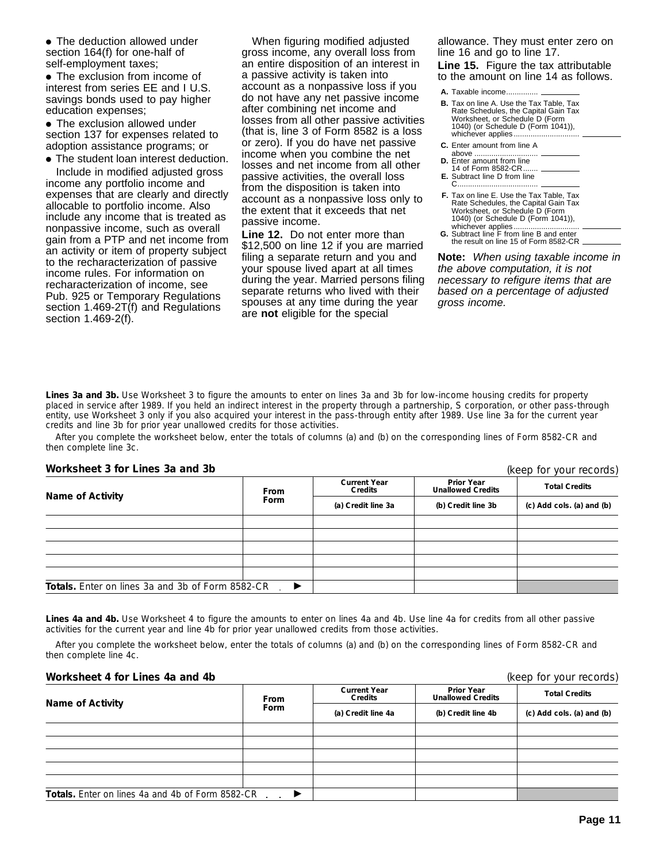● The deduction allowed under section 164(f) for one-half of self-employment taxes;

• The exclusion from income of interest from series EE and I U.S. savings bonds used to pay higher education expenses;

• The exclusion allowed under section 137 for expenses related to adoption assistance programs; or

• The student loan interest deduction. Include in modified adjusted gross income any portfolio income and expenses that are clearly and directly allocable to portfolio income. Also include any income that is treated as nonpassive income, such as overall gain from a PTP and net income from an activity or item of property subject to the recharacterization of passive income rules. For information on recharacterization of income, see Pub. 925 or Temporary Regulations section 1.469-2T(f) and Regulations section 1.469-2(f).

When figuring modified adjusted gross income, any overall loss from an entire disposition of an interest in a passive activity is taken into account as a nonpassive loss if you do not have any net passive income after combining net income and losses from all other passive activities (that is, line 3 of Form 8582 is a loss or zero). If you do have net passive income when you combine the net losses and net income from all other passive activities, the overall loss from the disposition is taken into account as a nonpassive loss only to the extent that it exceeds that net passive income.

**Line 12.** Do not enter more than \$12,500 on line 12 if you are married filing a separate return and you and your spouse lived apart at all times during the year. Married persons filing separate returns who lived with their spouses at any time during the year are **not** eligible for the special

allowance. They must enter zero on line 16 and go to line 17.

**Line 15.** Figure the tax attributable to the amount on line 14 as follows.

A. Taxable income......

- **B.** Tax on line A. Use the Tax Table, Tax Rate Schedules, the Capital Gain Tax Worksheet, or Schedule D (Form 1040) (or Schedule D (Form 1041)), whichever applies....
- **C.** Enter amount from line A above
- above .............................. **D.** Enter amount from line

 $C$ ......

- 14 of Form 8582-CR **E.** Subtract line D from line
- **F.** Tax on line E. Use the Tax Table, Tax Rate Schedules, the Capital Gain Tax Worksheet, or Schedule D (Form 1040) (or Schedule D (Form 1041)),
- whichever applies............................... **G.** Subtract line F from line B and enter the result on line 15 of Form 8582-CR.

**Note:** When using taxable income in the above computation, it is not necessary to refigure items that are based on a percentage of adjusted gross income.

**Lines 3a and 3b.** Use Worksheet 3 to figure the amounts to enter on lines 3a and 3b for low-income housing credits for property placed in service after 1989. If you held an indirect interest in the property through a partnership, S corporation, or other pass-through entity, use Worksheet 3 only if you also acquired your interest in the pass-through entity after 1989. Use line 3a for the current year credits and line 3b for prior year unallowed credits for those activities.

After you complete the worksheet below, enter the totals of columns (a) and (b) on the corresponding lines of Form 8582-CR and then complete line 3c.

**Worksheet 3 for Lines 3a and 3b**

(keep for your records)

| Name of Activity                                     | From | <b>Current Year</b><br>Credits | <b>Prior Year</b><br><b>Unallowed Credits</b> | <b>Total Credits</b>      |
|------------------------------------------------------|------|--------------------------------|-----------------------------------------------|---------------------------|
|                                                      | Form | (a) Credit line 3a             | (b) Credit line 3b                            | (c) Add cols. (a) and (b) |
|                                                      |      |                                |                                               |                           |
|                                                      |      |                                |                                               |                           |
|                                                      |      |                                |                                               |                           |
|                                                      |      |                                |                                               |                           |
|                                                      |      |                                |                                               |                           |
| Totals. Enter on lines 3a and 3b of Form 8582-CR . ▶ |      |                                |                                               |                           |

**Lines 4a and 4b.** Use Worksheet 4 to figure the amounts to enter on lines 4a and 4b. Use line 4a for credits from all other passive activities for the current year and line 4b for prior year unallowed credits from those activities.

After you complete the worksheet below, enter the totals of columns (a) and (b) on the corresponding lines of Form 8582-CR and then complete line 4c.

#### **Worksheet 4 for Lines 4a and 4b** (keep for your records)

|                                                  | From | <b>Current Year</b><br>Credits | <b>Prior Year</b><br><b>Unallowed Credits</b> | <b>Total Credits</b>      |
|--------------------------------------------------|------|--------------------------------|-----------------------------------------------|---------------------------|
| Name of Activity                                 | Form | (a) Credit line 4a             | (b) Credit line 4b                            | (c) Add cols. (a) and (b) |
|                                                  |      |                                |                                               |                           |
|                                                  |      |                                |                                               |                           |
|                                                  |      |                                |                                               |                           |
|                                                  |      |                                |                                               |                           |
|                                                  |      |                                |                                               |                           |
| Totals. Enter on lines 4a and 4b of Form 8582-CR |      |                                |                                               |                           |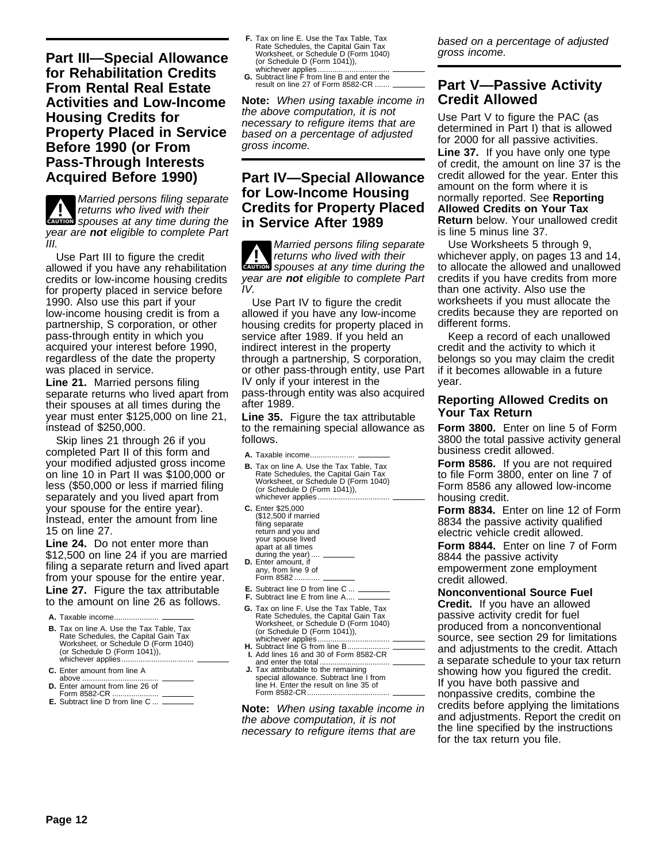**Part III—Special Allowance for Rehabilitation Credits From Rental Real Estate Activities and Low-Income Housing Credits for Property Placed in Service Before 1990 (or From Pass-Through Interests Acquired Before 1990)**

**ENTION** spouses at any time during the **1** Married persons filing separate<br>returns who lived with their<br>the setting theory year are **not** eligible to complete Part III.

Use Part III to figure the credit allowed if you have any rehabilitation credits or low-income housing credits for property placed in service before 1990. Also use this part if your low-income housing credit is from a partnership, S corporation, or other pass-through entity in which you acquired your interest before 1990, regardless of the date the property was placed in service.

**Line 21.** Married persons filing separate returns who lived apart from their spouses at all times during the year must enter \$125,000 on line 21, instead of \$250,000.

Skip lines 21 through 26 if you completed Part II of this form and your modified adjusted gross income on line 10 in Part II was \$100,000 or less (\$50,000 or less if married filing separately and you lived apart from your spouse for the entire year). Instead, enter the amount from line 15 on line 27.

**Line 24.** Do not enter more than \$12,500 on line 24 if you are married filing a separate return and lived apart from your spouse for the entire year. **Line 27.** Figure the tax attributable to the amount on line 26 as follows.

- **A.** Taxable income.....................
- **B.** Tax on line A. Use the Tax Table, Tax Rate Schedules, the Capital Gain Tax Worksheet, or Schedule D (Form 1040) (or Schedule D (Form 1041)), whichever applies...
- **C.** Enter amount from line A
- above ........ **D.** Enter amount from line 26 of
- Form 8582-CR ......................
- **E.** Subtract line D from line C ...
- **F.** Tax on line E. Use the Tax Table, Tax<br>Rate Schedules, the Capital Gain Tax<br>Worksheet, or Schedule D (Form 1040) (or Schedule D (Form 1041)), whichever applies...
- **G.** Subtract line F from line B and enter the result on line 27 of Form 8582-CR ...

**Note:** When using taxable income in the above computation, it is not necessary to refigure items that are based on a percentage of adjusted gross income.

# **Part IV—Special Allowance for Low-Income Housing Credits for Property Placed in Service After 1989**

**ENTION** spouses at any time during the **!** Married persons filing separate returns who lived with their year are **not** eligible to complete Part IV.

Use Part IV to figure the credit allowed if you have any low-income housing credits for property placed in service after 1989. If you held an indirect interest in the property through a partnership, S corporation, or other pass-through entity, use Part IV only if your interest in the pass-through entity was also acquired after 1989.

**Line 35.** Figure the tax attributable to the remaining special allowance as follows.

- **A.** Taxable income.....
- **B.** Tax on line A. Use the Tax Table, Tax Rate Schedules, the Capital Gain Tax Worksheet, or Schedule D (Form 1040) (or Schedule D (Form 1041)), whichever applies.
- **C.** Enter \$25,000 (\$12,500 if married filing separate return and you and your spouse lived apart at all times during the year)
- **D.** Enter amount, if any, from line 9 of Form 8582....
- **E.** Subtract line D from line C ...
- **F.** Subtract line E from line A....
- **G.** Tax on line F. Use the Tax Table, Tax Rate Schedules, the Capital Gain Tax Worksheet, or Schedule D (Form 1040) (or Schedule D (Form 1041)), whichever applies.
- H. Subtract line G from line B... **I.** Add lines 16 and 30 of Form 8582-CR and enter the total ...
- **J.** Tax attributable to the remaining special allowance. Subtract line I from line H. Enter the result on line 35 of Form 8582-CR...

**Note:** When using taxable income in the above computation, it is not necessary to refigure items that are

based on a percentage of adjusted gross income.

# **Part V—Passive Activity Credit Allowed**

Use Part V to figure the PAC (as determined in Part I) that is allowed for 2000 for all passive activities. **Line 37.** If you have only one type of credit, the amount on line 37 is the credit allowed for the year. Enter this amount on the form where it is normally reported. See **Reporting Allowed Credits on Your Tax Return** below. Your unallowed credit is line 5 minus line 37.

Use Worksheets 5 through 9, whichever apply, on pages 13 and 14, to allocate the allowed and unallowed credits if you have credits from more than one activity. Also use the worksheets if you must allocate the credits because they are reported on different forms.

Keep a record of each unallowed credit and the activity to which it belongs so you may claim the credit if it becomes allowable in a future year.

#### **Reporting Allowed Credits on Your Tax Return**

**Form 3800.** Enter on line 5 of Form 3800 the total passive activity general business credit allowed.

**Form 8586.** If you are not required to file Form 3800, enter on line 7 of Form 8586 any allowed low-income housing credit.

**Form 8834.** Enter on line 12 of Form 8834 the passive activity qualified electric vehicle credit allowed.

**Form 8844.** Enter on line 7 of Form 8844 the passive activity empowerment zone employment credit allowed.

**Nonconventional Source Fuel Credit.** If you have an allowed passive activity credit for fuel produced from a nonconventional source, see section 29 for limitations and adjustments to the credit. Attach a separate schedule to your tax return showing how you figured the credit. If you have both passive and nonpassive credits, combine the credits before applying the limitations and adjustments. Report the credit on the line specified by the instructions for the tax return you file.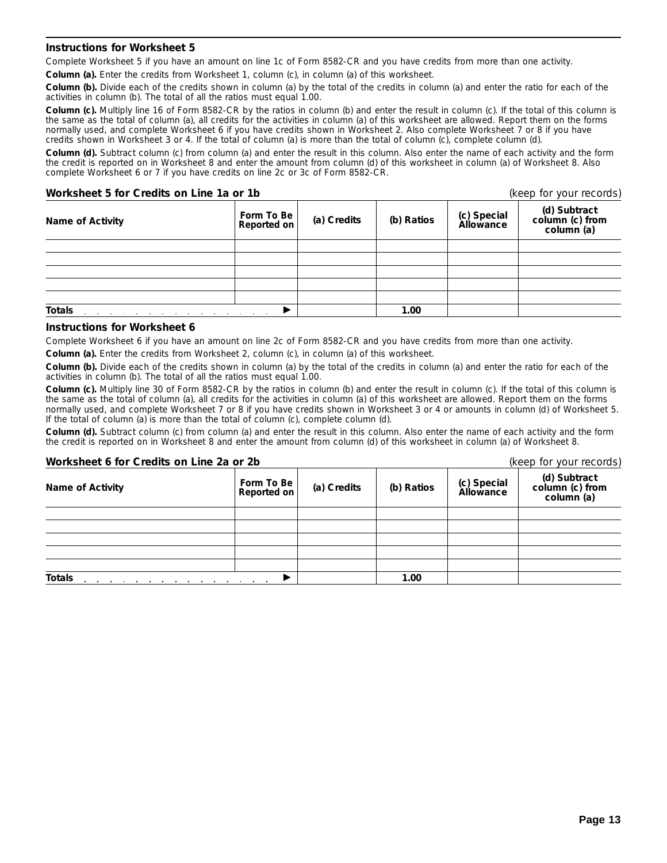#### **Instructions for Worksheet 5**

Complete Worksheet 5 if you have an amount on line 1c of Form 8582-CR and you have credits from more than one activity.

**Column (a).** Enter the credits from Worksheet 1, column (c), in column (a) of this worksheet.

**Column (b).** Divide each of the credits shown in column (a) by the total of the credits in column (a) and enter the ratio for each of the activities in column (b). The total of all the ratios must equal 1.00.

**Column (c).** Multiply line 16 of Form 8582-CR by the ratios in column (b) and enter the result in column (c). If the total of this column is the same as the total of column (a), all credits for the activities in column (a) of this worksheet are allowed. Report them on the forms normally used, and complete Worksheet 6 if you have credits shown in Worksheet 2. Also complete Worksheet 7 or 8 if you have credits shown in Worksheet 3 or 4. If the total of column (a) is more than the total of column (c), complete column (d).

**Column (d).** Subtract column (c) from column (a) and enter the result in this column. Also enter the name of each activity and the form the credit is reported on in Worksheet 8 and enter the amount from column (d) of this worksheet in column (a) of Worksheet 8. Also complete Worksheet 6 or 7 if you have credits on line 2c or 3c of Form 8582-CR.

#### **Worksheet 5 for Credits on Line 1a or 1b** (keep for your records)

| Name of Activity | Form To Be<br>Reported on | (a) Credits | (b) Ratios | (c) Special<br>Allowance | .<br>(d) Subtract<br>column (c) from<br>column (a) |
|------------------|---------------------------|-------------|------------|--------------------------|----------------------------------------------------|
|                  |                           |             |            |                          |                                                    |
|                  |                           |             |            |                          |                                                    |
|                  |                           |             |            |                          |                                                    |
|                  |                           |             |            |                          |                                                    |
|                  |                           |             |            |                          |                                                    |
| <b>Totals</b>    |                           |             | 1.00       |                          |                                                    |

#### **Instructions for Worksheet 6**

Complete Worksheet 6 if you have an amount on line 2c of Form 8582-CR and you have credits from more than one activity.

**Column (a).** Enter the credits from Worksheet 2, column (c), in column (a) of this worksheet.

**Column (b).** Divide each of the credits shown in column (a) by the total of the credits in column (a) and enter the ratio for each of the activities in column (b). The total of all the ratios must equal 1.00.

**Column (c).** Multiply line 30 of Form 8582-CR by the ratios in column (b) and enter the result in column (c). If the total of this column is the same as the total of column (a), all credits for the activities in column (a) of this worksheet are allowed. Report them on the forms normally used, and complete Worksheet 7 or 8 if you have credits shown in Worksheet 3 or 4 or amounts in column (d) of Worksheet 5. If the total of column (a) is more than the total of column (c), complete column (d).

**Column (d).** Subtract column (c) from column (a) and enter the result in this column. Also enter the name of each activity and the form the credit is reported on in Worksheet 8 and enter the amount from column (d) of this worksheet in column (a) of Worksheet 8.

| Worksheet 6 for Credits on Line 2a or 2b |                           |             |            | (keep for your records)  |                                               |  |
|------------------------------------------|---------------------------|-------------|------------|--------------------------|-----------------------------------------------|--|
| Name of Activity                         | Form To Be<br>Reported on | (a) Credits | (b) Ratios | (c) Special<br>Allowance | (d) Subtract<br>column (c) from<br>column (a) |  |
|                                          |                           |             |            |                          |                                               |  |
|                                          |                           |             |            |                          |                                               |  |
|                                          |                           |             |            |                          |                                               |  |
|                                          |                           |             |            |                          |                                               |  |
|                                          |                           |             |            |                          |                                               |  |
| <b>Totals</b>                            |                           |             | 1.00       |                          |                                               |  |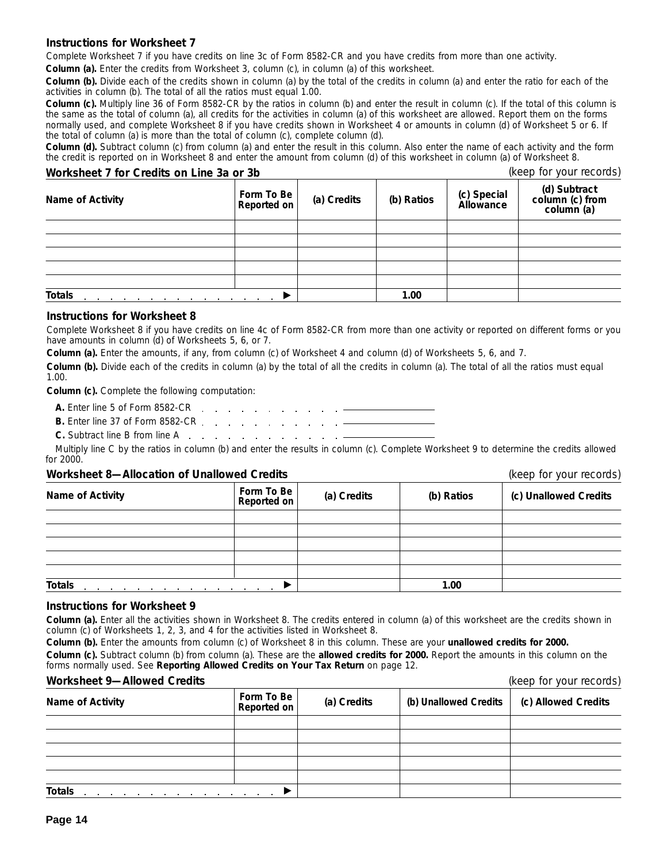#### **Instructions for Worksheet 7**

Complete Worksheet 7 if you have credits on line 3c of Form 8582-CR and you have credits from more than one activity. **Column (a).** Enter the credits from Worksheet 3, column (c), in column (a) of this worksheet.

**Column (b).** Divide each of the credits shown in column (a) by the total of the credits in column (a) and enter the ratio for each of the activities in column (b). The total of all the ratios must equal 1.00.

**Column (c).** Multiply line 36 of Form 8582-CR by the ratios in column (b) and enter the result in column (c). If the total of this column is the same as the total of column (a), all credits for the activities in column (a) of this worksheet are allowed. Report them on the forms normally used, and complete Worksheet 8 if you have credits shown in Worksheet 4 or amounts in column (d) of Worksheet 5 or 6. If the total of column (a) is more than the total of column (c), complete column (d).

**Column (d).** Subtract column (c) from column (a) and enter the result in this column. Also enter the name of each activity and the form the credit is reported on in Worksheet 8 and enter the amount from column (d) of this worksheet in column (a) of Worksheet 8.

## **Worksheet 7 for Credits on Line 3a or 3b** (keep for your records)

| <b>WOLKSHEEL / IOF CLEGILS OIL LIFTE 3d OF 3D</b>                                    |                           |             |            |                          | lizab in <i>loa</i> inconder                  |
|--------------------------------------------------------------------------------------|---------------------------|-------------|------------|--------------------------|-----------------------------------------------|
| Name of Activity                                                                     | Form To Be<br>Reported on | (a) Credits | (b) Ratios | (c) Special<br>Allowance | (d) Subtract<br>column (c) from<br>column (a) |
|                                                                                      |                           |             |            |                          |                                               |
|                                                                                      |                           |             |            |                          |                                               |
|                                                                                      |                           |             |            |                          |                                               |
|                                                                                      |                           |             |            |                          |                                               |
|                                                                                      |                           |             |            |                          |                                               |
| <b>Totals</b><br>and the contract of the contract of the contract of the contract of |                           |             | 1.00       |                          |                                               |

#### **Instructions for Worksheet 8**

Complete Worksheet 8 if you have credits on line 4c of Form 8582-CR from more than one activity or reported on different forms or you have amounts in column (d) of Worksheets 5, 6, or 7.

**Column (a).** Enter the amounts, if any, from column (c) of Worksheet 4 and column (d) of Worksheets 5, 6, and 7.

**Column (b).** Divide each of the credits in column (a) by the total of all the credits in column (a). The total of all the ratios must equal 1.00.

**Column (c).** Complete the following computation:

- **A.** Enter line 5 of Form 8582-CR
- **B.** Enter line 37 of Form 8582-CR
- **C.** Subtract line B from line A

Multiply line C by the ratios in column (b) and enter the results in column (c). Complete Worksheet 9 to determine the credits allowed  $for 2000$ 

#### **Worksheet 8—Allocation of Unallowed Credits** (keep for your records)

| Name of Activity | Form To Be<br>Reported on | (a) Credits | (b) Ratios | (c) Unallowed Credits |
|------------------|---------------------------|-------------|------------|-----------------------|
|                  |                           |             |            |                       |
|                  |                           |             |            |                       |
|                  |                           |             |            |                       |
|                  |                           |             |            |                       |
|                  |                           |             |            |                       |
| <b>Totals</b>    |                           |             | 1.00       |                       |

#### **Instructions for Worksheet 9**

**Column (a).** Enter all the activities shown in Worksheet 8. The credits entered in column (a) of this worksheet are the credits shown in column (c) of Worksheets 1, 2, 3, and 4 for the activities listed in Worksheet 8.

**Column (b).** Enter the amounts from column (c) of Worksheet 8 in this column. These are your **unallowed credits for 2000.**

**Column (c).** Subtract column (b) from column (a). These are the **allowed credits for 2000.** Report the amounts in this column on the forms normally used. See **Reporting Allowed Credits on Your Tax Return** on page 12.

### **Worksheet 9—Allowed Credits** (keep for your records)

| WULKSHEEL 7-AIIUWEU CIEUILS                                     |                           |             |                       | IVECh INI JUNI ICCNING |
|-----------------------------------------------------------------|---------------------------|-------------|-----------------------|------------------------|
| Name of Activity                                                | Form To Be<br>Reported on | (a) Credits | (b) Unallowed Credits | (c) Allowed Credits    |
|                                                                 |                           |             |                       |                        |
|                                                                 |                           |             |                       |                        |
|                                                                 |                           |             |                       |                        |
|                                                                 |                           |             |                       |                        |
|                                                                 |                           |             |                       |                        |
| Totals<br>and a series of the contract and a series of the con- |                           |             |                       |                        |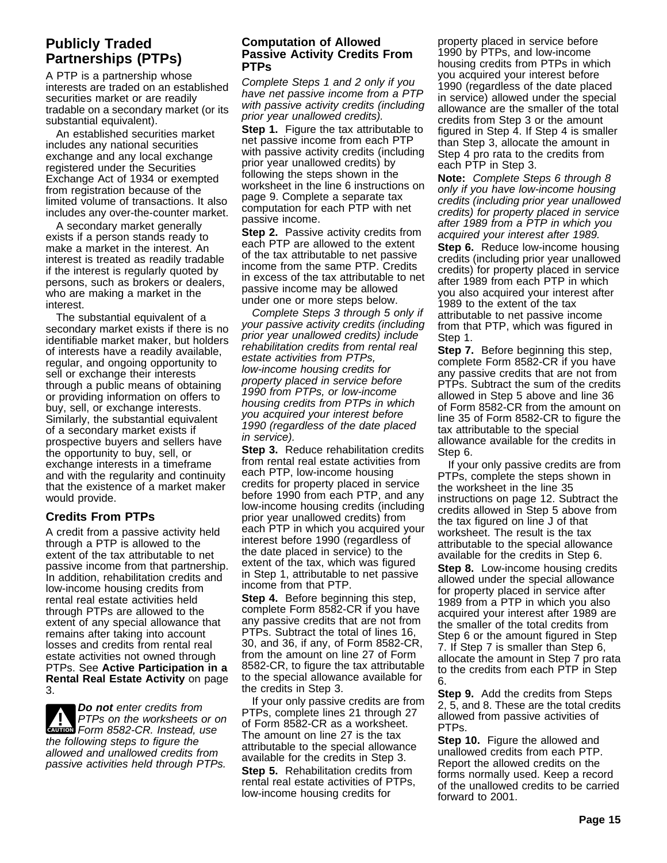# **Publicly Traded Partnerships (PTPs)**

A PTP is a partnership whose interests are traded on an established securities market or are readily tradable on a secondary market (or its substantial equivalent).

An established securities market includes any national securities exchange and any local exchange registered under the Securities Exchange Act of 1934 or exempted from registration because of the limited volume of transactions. It also includes any over-the-counter market.

A secondary market generally exists if a person stands ready to make a market in the interest. An interest is treated as readily tradable if the interest is regularly quoted by persons, such as brokers or dealers, who are making a market in the interest.

The substantial equivalent of a secondary market exists if there is no identifiable market maker, but holders of interests have a readily available, regular, and ongoing opportunity to sell or exchange their interests through a public means of obtaining or providing information on offers to buy, sell, or exchange interests. Similarly, the substantial equivalent of a secondary market exists if prospective buyers and sellers have the opportunity to buy, sell, or exchange interests in a timeframe and with the regularity and continuity that the existence of a market maker would provide.

# **Credits From PTPs**

A credit from a passive activity held through a PTP is allowed to the extent of the tax attributable to net passive income from that partnership. In addition, rehabilitation credits and low-income housing credits from rental real estate activities held through PTPs are allowed to the extent of any special allowance that remains after taking into account losses and credits from rental real estate activities not owned through PTPs. See **Active Participation in a Rental Real Estate Activity** on page 3.

**PTPs on the worksheets or GRUTION**<br>Form 8582-CR. Instead, use **Do not** enter credits from PTPs on the worksheets or on the following steps to figure the allowed and unallowed credits from passive activities held through PTPs.

### **Computation of Allowed Passive Activity Credits From PTPs**

Complete Steps 1 and 2 only if you have net passive income from a PTP with passive activity credits (including prior year unallowed credits).

**Step 1.** Figure the tax attributable to net passive income from each PTP with passive activity credits (including prior year unallowed credits) by following the steps shown in the worksheet in the line 6 instructions on page 9. Complete a separate tax computation for each PTP with net passive income.

**Step 2.** Passive activity credits from each PTP are allowed to the extent of the tax attributable to net passive income from the same PTP. Credits in excess of the tax attributable to net passive income may be allowed under one or more steps below.

Complete Steps 3 through 5 only if your passive activity credits (including prior year unallowed credits) include rehabilitation credits from rental real estate activities from PTPs, low-income housing credits for property placed in service before 1990 from PTPs, or low-income housing credits from PTPs in which you acquired your interest before 1990 (regardless of the date placed in service).

**Step 3.** Reduce rehabilitation credits from rental real estate activities from each PTP, low-income housing credits for property placed in service before 1990 from each PTP, and any low-income housing credits (including prior year unallowed credits) from each PTP in which you acquired your interest before 1990 (regardless of the date placed in service) to the extent of the tax, which was figured in Step 1, attributable to net passive income from that PTP.

**Step 4.** Before beginning this step, complete Form 8582-CR if you have any passive credits that are not from PTPs. Subtract the total of lines 16, 30, and 36, if any, of Form 8582-CR, from the amount on line 27 of Form 8582-CR, to figure the tax attributable to the special allowance available for the credits in Step 3.

If your only passive credits are from PTPs, complete lines 21 through 27 of Form 8582-CR as a worksheet. The amount on line 27 is the tax attributable to the special allowance available for the credits in Step 3. **Step 5.** Rehabilitation credits from rental real estate activities of PTPs, low-income housing credits for

property placed in service before 1990 by PTPs, and low-income housing credits from PTPs in which you acquired your interest before 1990 (regardless of the date placed in service) allowed under the special allowance are the smaller of the total credits from Step 3 or the amount figured in Step 4. If Step 4 is smaller than Step 3, allocate the amount in Step 4 pro rata to the credits from each PTP in Step 3.

**Note:** Complete Steps 6 through 8 only if you have low-income housing credits (including prior year unallowed credits) for property placed in service after 1989 from a PTP in which you acquired your interest after 1989. **Step 6.** Reduce low-income housing credits (including prior year unallowed credits) for property placed in service after 1989 from each PTP in which you also acquired your interest after 1989 to the extent of the tax attributable to net passive income from that PTP, which was figured in Step 1.

**Step 7.** Before beginning this step, complete Form 8582-CR if you have any passive credits that are not from PTPs. Subtract the sum of the credits allowed in Step 5 above and line 36 of Form 8582-CR from the amount on line 35 of Form 8582-CR to figure the tax attributable to the special allowance available for the credits in Step 6.

If your only passive credits are from PTPs, complete the steps shown in the worksheet in the line 35 instructions on page 12. Subtract the credits allowed in Step 5 above from the tax figured on line J of that worksheet. The result is the tax attributable to the special allowance available for the credits in Step 6. **Step 8.** Low-income housing credits allowed under the special allowance for property placed in service after 1989 from a PTP in which you also acquired your interest after 1989 are the smaller of the total credits from Step 6 or the amount figured in Step 7. If Step 7 is smaller than Step 6, allocate the amount in Step 7 pro rata

**Step 9.** Add the credits from Steps 2, 5, and 8. These are the total credits allowed from passive activities of PTPs.

to the credits from each PTP in Step

6.

**Step 10.** Figure the allowed and unallowed credits from each PTP. Report the allowed credits on the forms normally used. Keep a record of the unallowed credits to be carried forward to 2001.